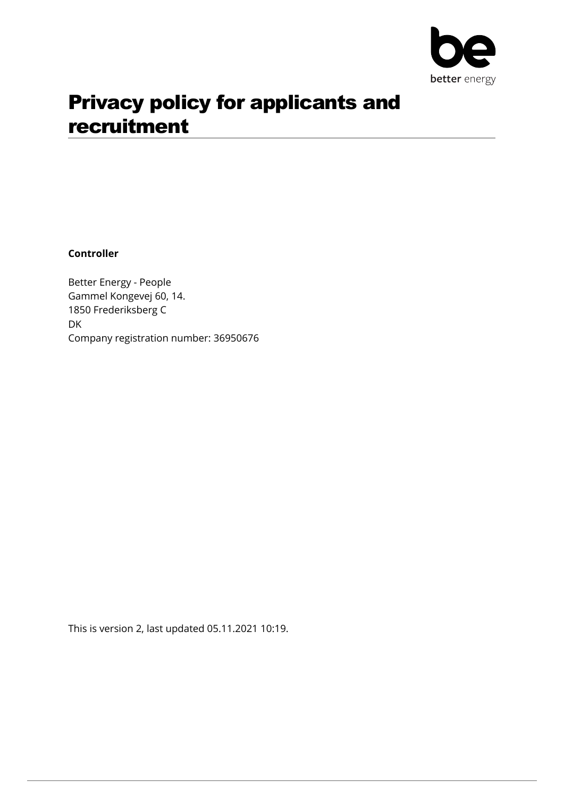

# Privacy policy for applicants and recruitment

**Controller**

Better Energy - People Gammel Kongevej 60, 14. 1850 Frederiksberg C DK Company registration number: 36950676

This is version 2, last updated 05.11.2021 10:19.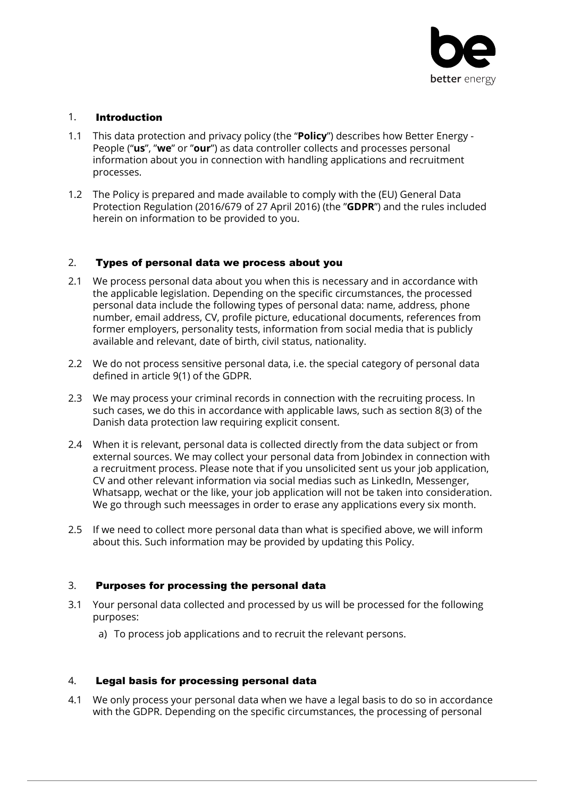

## 1. Introduction

- 1.1 This data protection and privacy policy (the "**Policy**") describes how Better Energy People ("**us**", "**we**" or "**our**") as data controller collects and processes personal information about you in connection with handling applications and recruitment processes.
- 1.2 The Policy is prepared and made available to comply with the (EU) General Data Protection Regulation (2016/679 of 27 April 2016) (the "**GDPR**") and the rules included herein on information to be provided to you.

## 2. Types of personal data we process about you

- 2.1 We process personal data about you when this is necessary and in accordance with the applicable legislation. Depending on the specific circumstances, the processed personal data include the following types of personal data: name, address, phone number, email address, CV, profile picture, educational documents, references from former employers, personality tests, information from social media that is publicly available and relevant, date of birth, civil status, nationality.
- 2.2 We do not process sensitive personal data, i.e. the special category of personal data defined in article 9(1) of the GDPR.
- 2.3 We may process your criminal records in connection with the recruiting process. In such cases, we do this in accordance with applicable laws, such as section 8(3) of the Danish data protection law requiring explicit consent.
- 2.4 When it is relevant, personal data is collected directly from the data subject or from external sources. We may collect your personal data from Jobindex in connection with a recruitment process. Please note that if you unsolicited sent us your job application, CV and other relevant information via social medias such as LinkedIn, Messenger, Whatsapp, wechat or the like, your job application will not be taken into consideration. We go through such meessages in order to erase any applications every six month.
- 2.5 If we need to collect more personal data than what is specified above, we will inform about this. Such information may be provided by updating this Policy.

#### 3. Purposes for processing the personal data

- 3.1 Your personal data collected and processed by us will be processed for the following purposes:
	- a) To process job applications and to recruit the relevant persons.

# 4. Legal basis for processing personal data

4.1 We only process your personal data when we have a legal basis to do so in accordance with the GDPR. Depending on the specific circumstances, the processing of personal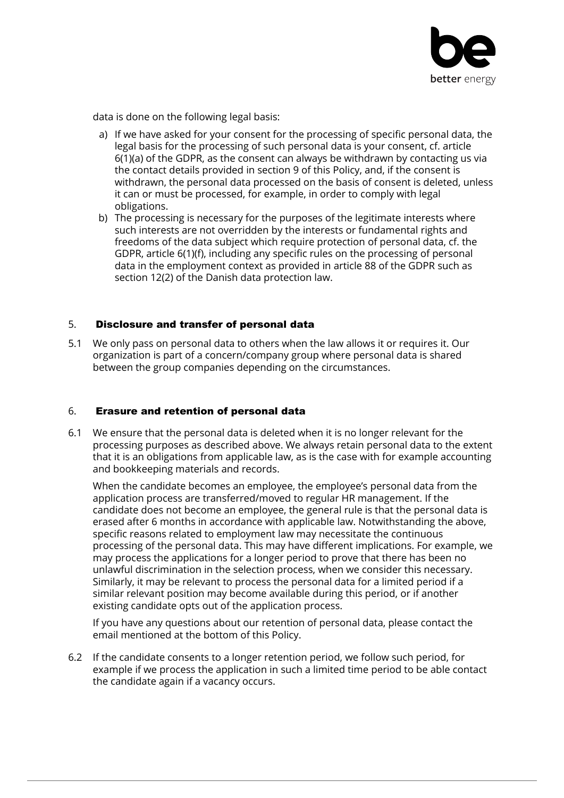

data is done on the following legal basis:

- a) If we have asked for your consent for the processing of specific personal data, the legal basis for the processing of such personal data is your consent, cf. article 6(1)(a) of the GDPR, as the consent can always be withdrawn by contacting us via the contact details provided in section 9 of this Policy, and, if the consent is withdrawn, the personal data processed on the basis of consent is deleted, unless it can or must be processed, for example, in order to comply with legal obligations.
- b) The processing is necessary for the purposes of the legitimate interests where such interests are not overridden by the interests or fundamental rights and freedoms of the data subject which require protection of personal data, cf. the GDPR, article 6(1)(f), including any specific rules on the processing of personal data in the employment context as provided in article 88 of the GDPR such as section 12(2) of the Danish data protection law.

#### 5. Disclosure and transfer of personal data

5.1 We only pass on personal data to others when the law allows it or requires it. Our organization is part of a concern/company group where personal data is shared between the group companies depending on the circumstances.

#### 6. Erasure and retention of personal data

6.1 We ensure that the personal data is deleted when it is no longer relevant for the processing purposes as described above. We always retain personal data to the extent that it is an obligations from applicable law, as is the case with for example accounting and bookkeeping materials and records.

When the candidate becomes an employee, the employee's personal data from the application process are transferred/moved to regular HR management. If the candidate does not become an employee, the general rule is that the personal data is erased after 6 months in accordance with applicable law. Notwithstanding the above, specific reasons related to employment law may necessitate the continuous processing of the personal data. This may have different implications. For example, we may process the applications for a longer period to prove that there has been no unlawful discrimination in the selection process, when we consider this necessary. Similarly, it may be relevant to process the personal data for a limited period if a similar relevant position may become available during this period, or if another existing candidate opts out of the application process.

If you have any questions about our retention of personal data, please contact the email mentioned at the bottom of this Policy.

6.2 If the candidate consents to a longer retention period, we follow such period, for example if we process the application in such a limited time period to be able contact the candidate again if a vacancy occurs.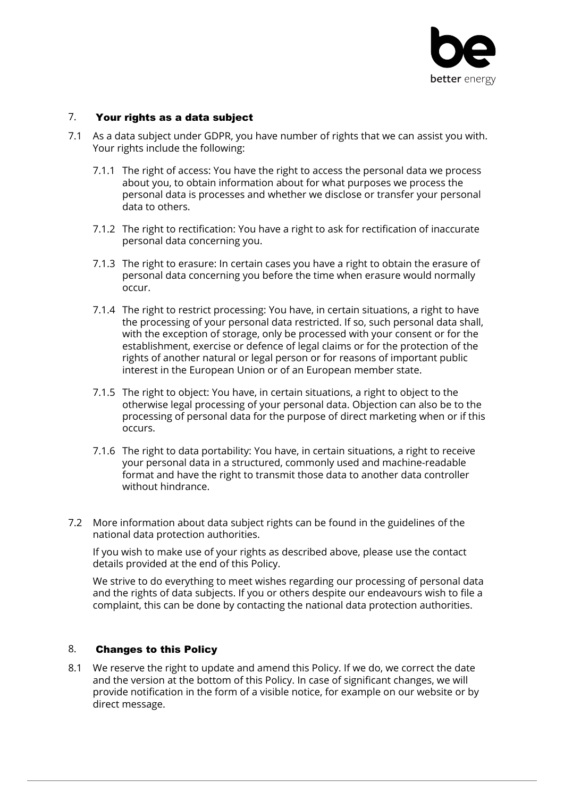

#### 7. Your rights as a data subject

- 7.1 As a data subject under GDPR, you have number of rights that we can assist you with. Your rights include the following:
	- 7.1.1 The right of access: You have the right to access the personal data we process about you, to obtain information about for what purposes we process the personal data is processes and whether we disclose or transfer your personal data to others.
	- 7.1.2 The right to rectification: You have a right to ask for rectification of inaccurate personal data concerning you.
	- 7.1.3 The right to erasure: In certain cases you have a right to obtain the erasure of personal data concerning you before the time when erasure would normally occur.
	- 7.1.4 The right to restrict processing: You have, in certain situations, a right to have the processing of your personal data restricted. If so, such personal data shall, with the exception of storage, only be processed with your consent or for the establishment, exercise or defence of legal claims or for the protection of the rights of another natural or legal person or for reasons of important public interest in the European Union or of an European member state.
	- 7.1.5 The right to object: You have, in certain situations, a right to object to the otherwise legal processing of your personal data. Objection can also be to the processing of personal data for the purpose of direct marketing when or if this occurs.
	- 7.1.6 The right to data portability: You have, in certain situations, a right to receive your personal data in a structured, commonly used and machine-readable format and have the right to transmit those data to another data controller without hindrance.
- 7.2 More information about data subject rights can be found in the guidelines of the national data protection authorities.

If you wish to make use of your rights as described above, please use the contact details provided at the end of this Policy.

We strive to do everything to meet wishes regarding our processing of personal data and the rights of data subjects. If you or others despite our endeavours wish to file a complaint, this can be done by contacting the national data protection authorities.

#### 8. Changes to this Policy

8.1 We reserve the right to update and amend this Policy. If we do, we correct the date and the version at the bottom of this Policy. In case of significant changes, we will provide notification in the form of a visible notice, for example on our website or by direct message.